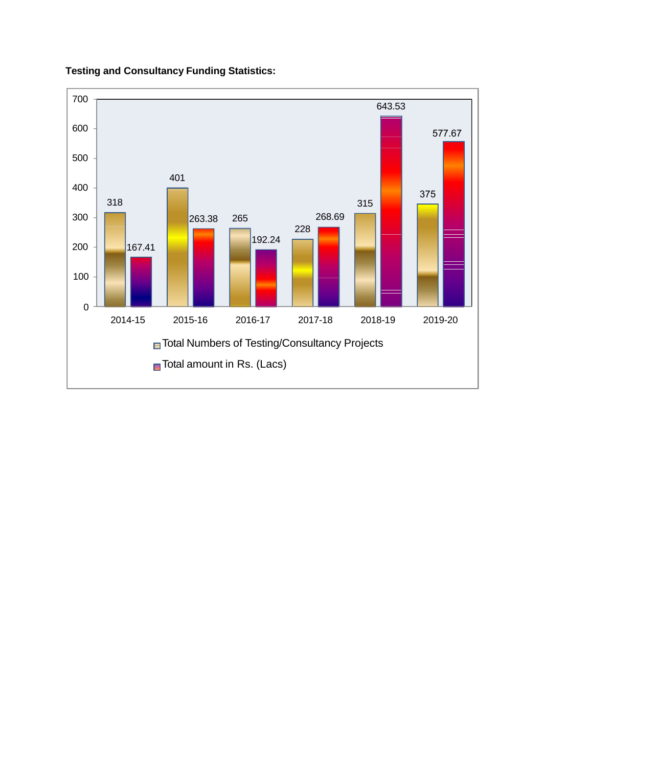#### **Testing and Consultancy Funding Statistics:**

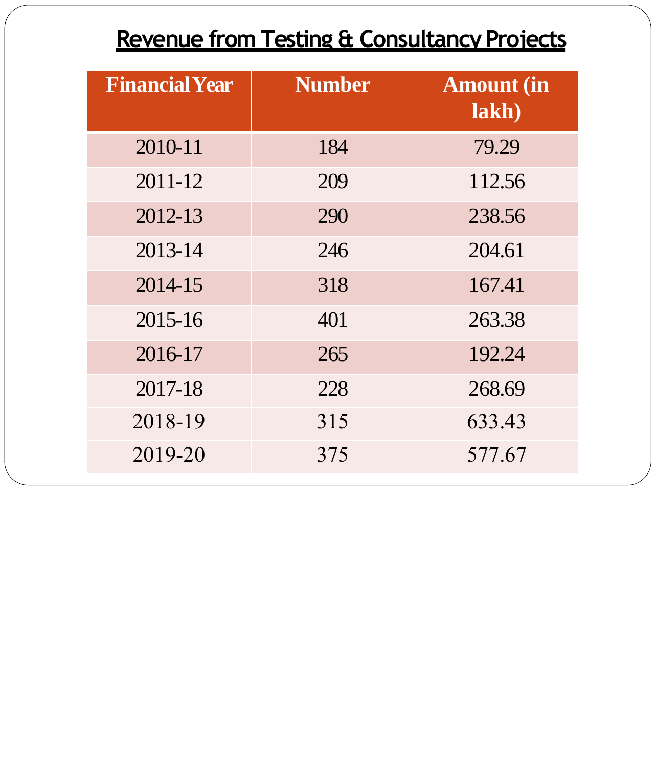## **Revenue from Testing & Consultancy Projects**

| <b>Financial Year</b> | <b>Number</b> | <b>Amount</b> (in<br>lakh) |
|-----------------------|---------------|----------------------------|
| 2010-11               | 184           | 79.29                      |
| 2011-12               | 209           | 112.56                     |
| 2012-13               | 290           | 238.56                     |
| 2013-14               | 246           | 204.61                     |
| 2014-15               | 318           | 167.41                     |
| 2015-16               | 401           | 263.38                     |
| 2016-17               | 265           | 192.24                     |
| 2017-18               | 228           | 268.69                     |
| 2018-19               | 315           | 633.43                     |
| 2019-20               | 375           | 577.67                     |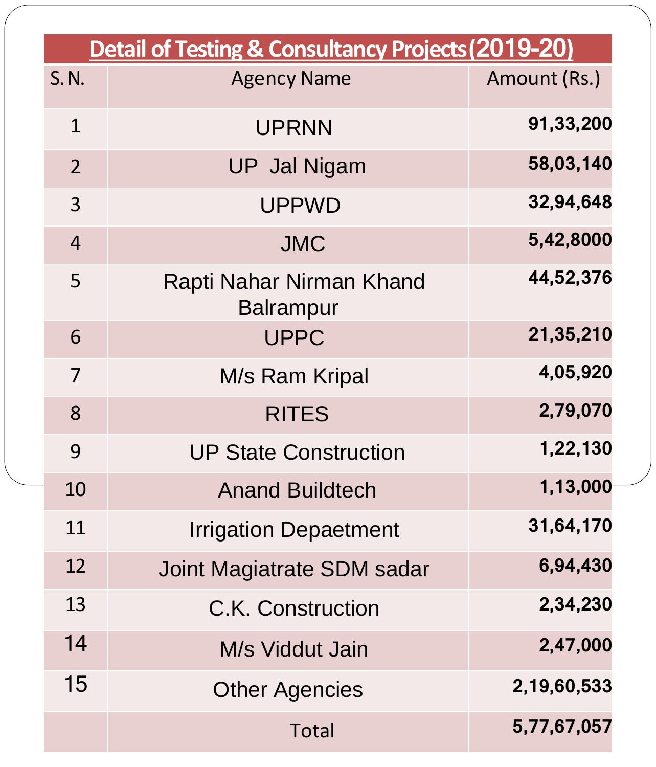|                | <b>Detail of Testing &amp; Consultancy Projects (2019-20)</b> |              |
|----------------|---------------------------------------------------------------|--------------|
| S. N.          | <b>Agency Name</b>                                            | Amount (Rs.) |
| $\mathbf 1$    | <b>UPRNN</b>                                                  | 91,33,200    |
| $\overline{2}$ | <b>UP Jal Nigam</b>                                           | 58,03,140    |
| $\overline{3}$ | <b>UPPWD</b>                                                  | 32,94,648    |
| $\overline{4}$ | <b>JMC</b>                                                    | 5,42,8000    |
| 5              | Rapti Nahar Nirman Khand<br><b>Balrampur</b>                  | 44,52,376    |
| 6              | <b>UPPC</b>                                                   | 21,35,210    |
| 7              | M/s Ram Kripal                                                | 4,05,920     |
| 8              | <b>RITES</b>                                                  | 2,79,070     |
| 9              | <b>UP State Construction</b>                                  | 1,22,130     |
| 10             | <b>Anand Buildtech</b>                                        | 1,13,000     |
| 11             | <b>Irrigation Depaetment</b>                                  | 31,64,170    |
| 12             | Joint Magiatrate SDM sadar                                    | 6,94,430     |
| 13             | C.K. Construction                                             | 2,34,230     |
| 14             | M/s Viddut Jain                                               | 2,47,000     |
| 15             | <b>Other Agencies</b>                                         | 2,19,60,533  |
|                | Total                                                         | 5,77,67,057  |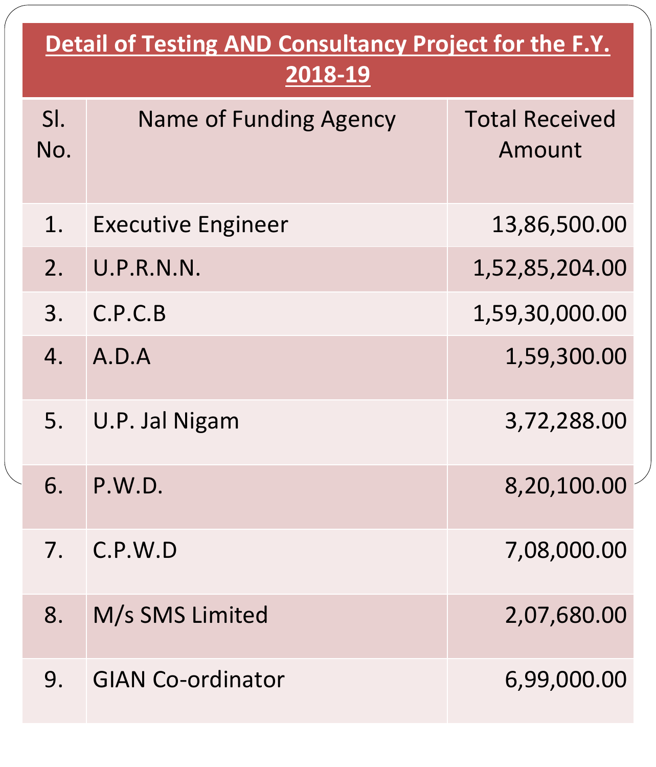| <b>Detail of Testing AND Consultancy Project for the F.Y.</b><br>2018-19 |                               |                                 |  |
|--------------------------------------------------------------------------|-------------------------------|---------------------------------|--|
| SI.<br>No.                                                               | <b>Name of Funding Agency</b> | <b>Total Received</b><br>Amount |  |
| 1.                                                                       | <b>Executive Engineer</b>     | 13,86,500.00                    |  |
| 2.                                                                       | U.P.R.N.N.                    | 1,52,85,204.00                  |  |
| 3.                                                                       | C.P.C.B                       | 1,59,30,000.00                  |  |
| 4.                                                                       | A.D.A                         | 1,59,300.00                     |  |
|                                                                          | U.P. Jal Nigam                | 3,72,288.00                     |  |
| 6.                                                                       | P.W.D.                        | 8,20,100.00                     |  |
| 7 <sub>1</sub>                                                           | C.P.W.D                       | 7,08,000.00                     |  |
| 8.                                                                       | M/s SMS Limited               | 2,07,680.00                     |  |
| 9.                                                                       | <b>GIAN Co-ordinator</b>      | 6,99,000.00                     |  |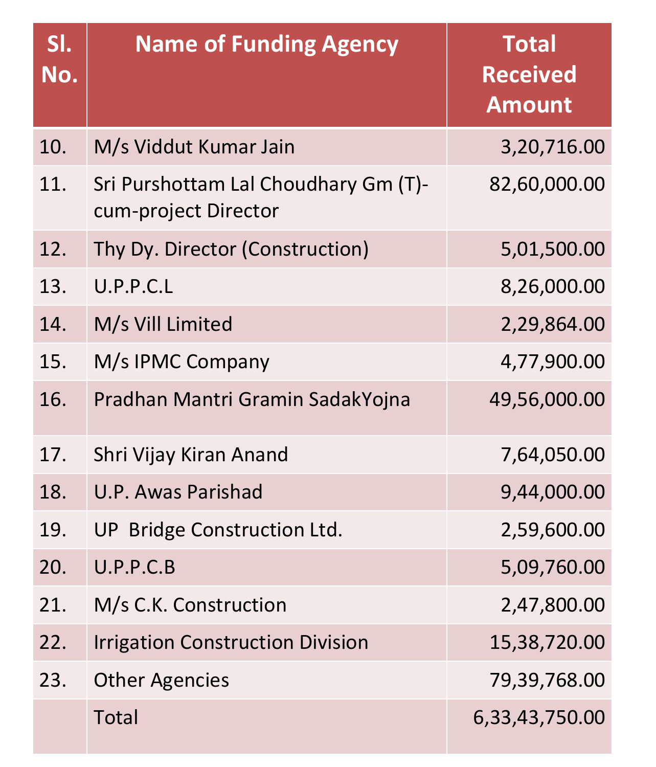| SI.<br>No. | <b>Name of Funding Agency</b>                                | <b>Total</b><br><b>Received</b><br><b>Amount</b> |
|------------|--------------------------------------------------------------|--------------------------------------------------|
| 10.        | M/s Viddut Kumar Jain                                        | 3,20,716.00                                      |
| 11.        | Sri Purshottam Lal Choudhary Gm (T)-<br>cum-project Director | 82,60,000.00                                     |
| 12.        | Thy Dy. Director (Construction)                              | 5,01,500.00                                      |
| 13.        | U.P.P.C.L                                                    | 8,26,000.00                                      |
| 14.        | M/s Vill Limited                                             | 2,29,864.00                                      |
| 15.        | M/s IPMC Company                                             | 4,77,900.00                                      |
| 16.        | Pradhan Mantri Gramin SadakYojna                             | 49,56,000.00                                     |
| 17.        | Shri Vijay Kiran Anand                                       | 7,64,050.00                                      |
| 18.        | U.P. Awas Parishad                                           | 9,44,000.00                                      |
| 19.        | UP Bridge Construction Ltd.                                  | 2,59,600.00                                      |
| 20.        | U.P.P.C.B                                                    | 5,09,760.00                                      |
| 21.        | M/s C.K. Construction                                        | 2,47,800.00                                      |
| 22.        | <b>Irrigation Construction Division</b>                      | 15,38,720.00                                     |
| 23.        | <b>Other Agencies</b>                                        | 79,39,768.00                                     |
|            | Total                                                        | 6,33,43,750.00                                   |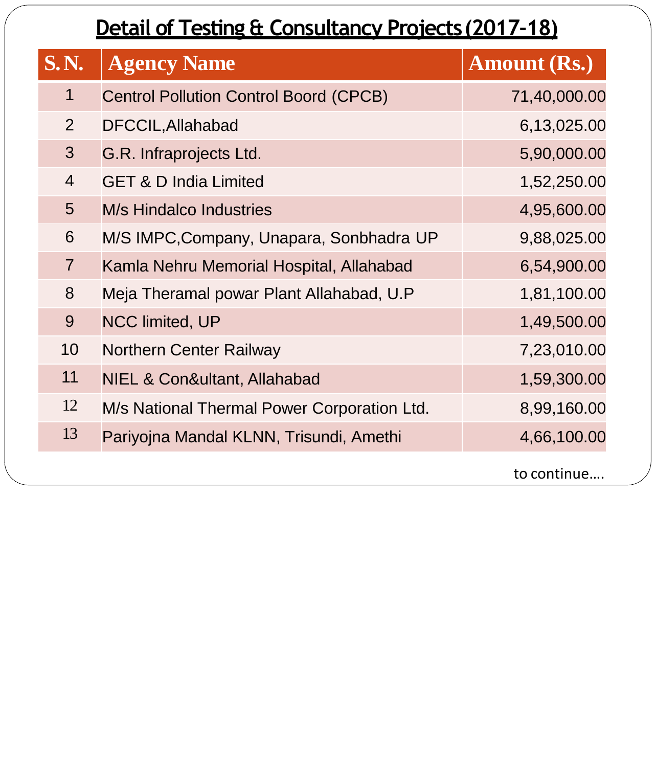# **Detail of Testing & Consultancy Projects(2017-18)**

| <b>S.N.</b>    | <b>Agency Name</b>                            | <b>Amount (Rs.)</b> |
|----------------|-----------------------------------------------|---------------------|
| $\mathbf 1$    | <b>Centrol Pollution Control Boord (CPCB)</b> | 71,40,000.00        |
| $\overline{2}$ | DFCCIL, Allahabad                             | 6,13,025.00         |
| 3              | G.R. Infraprojects Ltd.                       | 5,90,000.00         |
| $\overline{4}$ | <b>GET &amp; D India Limited</b>              | 1,52,250.00         |
| 5              | <b>M/s Hindalco Industries</b>                | 4,95,600.00         |
| 6              | M/S IMPC, Company, Unapara, Sonbhadra UP      | 9,88,025.00         |
| $\overline{7}$ | Kamla Nehru Memorial Hospital, Allahabad      | 6,54,900.00         |
| 8              | Meja Theramal powar Plant Allahabad, U.P      | 1,81,100.00         |
| 9              | <b>NCC limited, UP</b>                        | 1,49,500.00         |
| 10             | <b>Northern Center Railway</b>                | 7,23,010.00         |
| 11             | NIEL & Con&ultant, Allahabad                  | 1,59,300.00         |
| 12             | M/s National Thermal Power Corporation Ltd.   | 8,99,160.00         |
| 13             | Pariyojna Mandal KLNN, Trisundi, Amethi       | 4,66,100.00         |
|                |                                               | to continue         |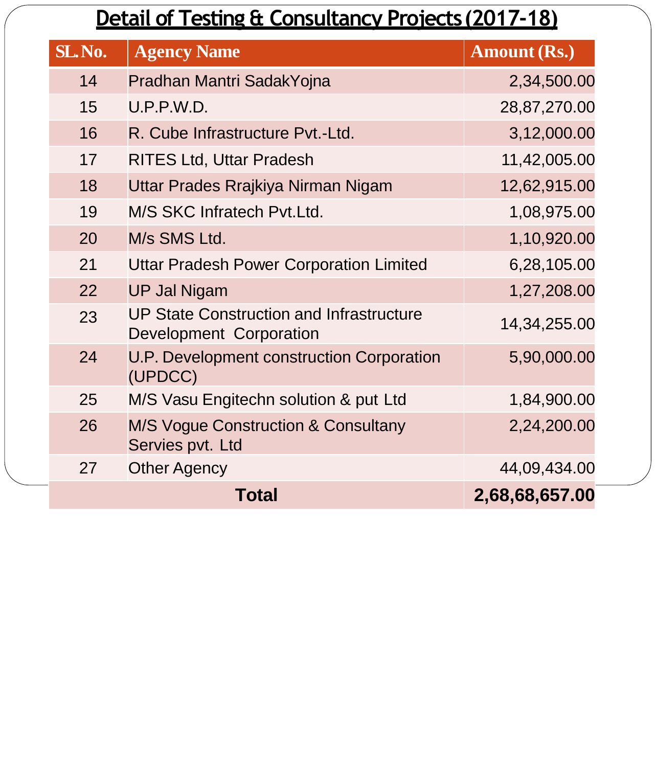#### **Detail of Testing & Consultancy Projects(2017-18)**

| SL.No. | <b>Agency Name</b>                                                         | <b>Amount (Rs.)</b> |
|--------|----------------------------------------------------------------------------|---------------------|
| 14     | Pradhan Mantri SadakYojna                                                  | 2,34,500.00         |
| 15     | U.P.P.W.D.                                                                 | 28,87,270.00        |
| 16     | R. Cube Infrastructure Pvt.-Ltd.                                           | 3,12,000.00         |
| 17     | <b>RITES Ltd, Uttar Pradesh</b>                                            | 11,42,005.00        |
| 18     | Uttar Prades Rrajkiya Nirman Nigam                                         | 12,62,915.00        |
| 19     | M/S SKC Infratech Pvt. Ltd.                                                | 1,08,975.00         |
| 20     | M/s SMS Ltd.                                                               | 1,10,920.00         |
| 21     | <b>Uttar Pradesh Power Corporation Limited</b>                             | 6,28,105.00         |
| 22     | <b>UP Jal Nigam</b>                                                        | 1,27,208.00         |
| 23     | <b>UP State Construction and Infrastructure</b><br>Development Corporation | 14, 34, 255.00      |
| 24     | U.P. Development construction Corporation<br>(UPDCC)                       | 5,90,000.00         |
| 25     | M/S Vasu Engitechn solution & put Ltd                                      | 1,84,900.00         |
| 26     | <b>M/S Vogue Construction &amp; Consultany</b><br>Servies pvt. Ltd         | 2,24,200.00         |
| 27     | <b>Other Agency</b>                                                        | 44,09,434.00        |
|        | Total                                                                      | 2,68,68,657.00      |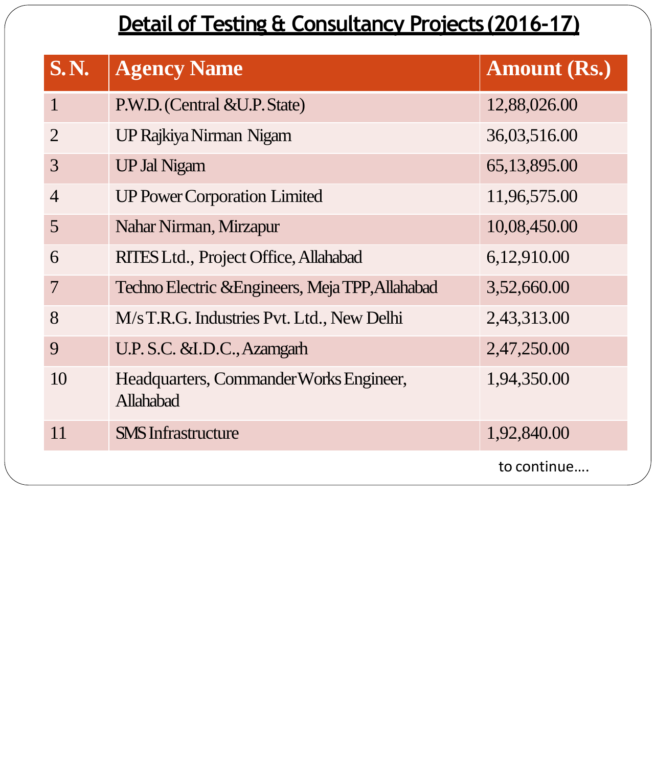# **Detail of Testing & Consultancy Projects(2016-17)**

| <b>S.N.</b>    | <b>Agency Name</b>                                   | Amount (Rs.)   |
|----------------|------------------------------------------------------|----------------|
| $\mathbf{1}$   | P.W.D. (Central &U.P. State)                         | 12,88,026.00   |
| $\overline{2}$ | UP Rajkiya Nirman Nigam                              | 36,03,516.00   |
| 3              | <b>UP Jal Nigam</b>                                  | 65, 13, 895.00 |
| $\overline{4}$ | <b>UP Power Corporation Limited</b>                  | 11,96,575.00   |
| 5              | Nahar Nirman, Mirzapur                               | 10,08,450.00   |
| 6              | RITES Ltd., Project Office, Allahabad                | 6,12,910.00    |
| $\overline{7}$ | Techno Electric & Engineers, Meja TPP, Allahabad     | 3,52,660.00    |
| 8              | M/s T.R.G. Industries Pvt. Ltd., New Delhi           | 2,43,313.00    |
| 9              | U.P.S.C. &I.D.C., Azamgarh                           | 2,47,250.00    |
| 10             | Headquarters, Commander Works Engineer,<br>Allahabad | 1,94,350.00    |
| 11             | <b>SMS</b> Infrastructure                            | 1,92,840.00    |
|                |                                                      | to continue    |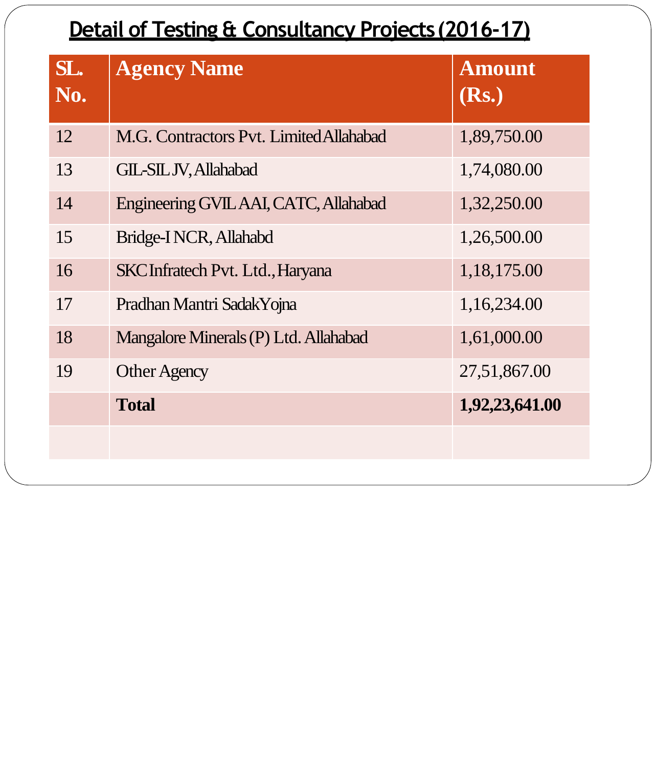# **Detail of Testing & Consultancy Projects(2016-17)**

| SL.<br>No. | <b>Agency Name</b>                      | <b>Amount</b><br>(Rs.) |
|------------|-----------------------------------------|------------------------|
| 12         | M.G. Contractors Pvt. Limited Allahabad | 1,89,750.00            |
| 13         | <b>GIL-SILJV, Allahabad</b>             | 1,74,080.00            |
| 14         | Engineering GVIL AAI, CATC, Allahabad   | 1,32,250.00            |
| 15         | Bridge-INCR, Allahabd                   | 1,26,500.00            |
| 16         | <b>SKC</b> Infratech Pvt. Ltd., Haryana | 1,18,175.00            |
| 17         | Pradhan Mantri Sadak Yojna              | 1,16,234.00            |
| 18         | Mangalore Minerals (P) Ltd. Allahabad   | 1,61,000.00            |
| 19         | <b>Other Agency</b>                     | 27,51,867.00           |
|            | <b>Total</b>                            | 1,92,23,641.00         |
|            |                                         |                        |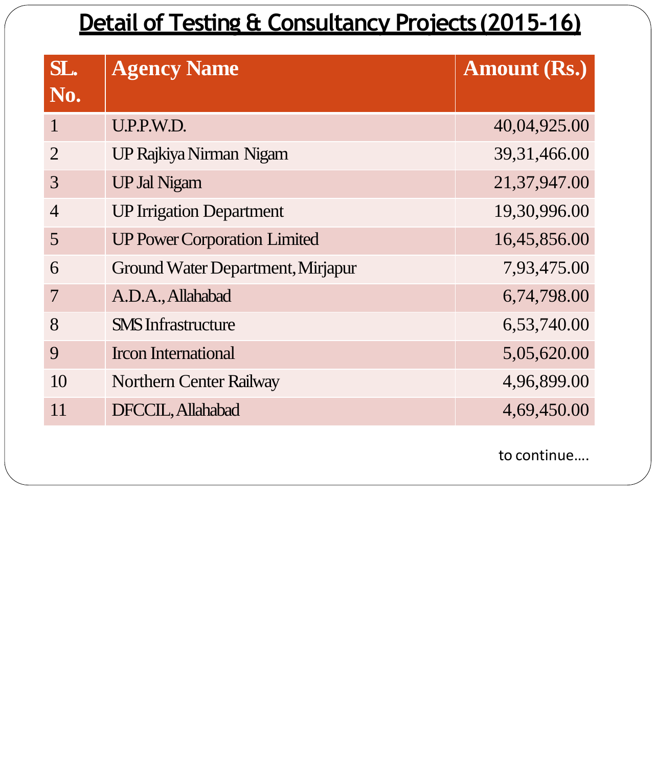#### **Detail of Testing & Consultancy Projects(2015-16)**

| SL.            | <b>Agency Name</b>                  | <b>Amount (Rs.)</b> |
|----------------|-------------------------------------|---------------------|
| No.            |                                     |                     |
| 1              | U.P.P.W.D.                          | 40,04,925.00        |
| $\overline{2}$ | UP Rajkiya Nirman Nigam             | 39, 31, 466.00      |
| 3              | <b>UP Jal Nigam</b>                 | 21,37,947.00        |
| $\overline{4}$ | <b>UP Irrigation Department</b>     | 19,30,996.00        |
| 5              | <b>UP Power Corporation Limited</b> | 16,45,856.00        |
| 6              | Ground Water Department, Mirjapur   | 7,93,475.00         |
| 7              | A.D.A., Allahabad                   | 6,74,798.00         |
| 8              | <b>SMS</b> Infrastructure           | 6,53,740.00         |
| 9              | <b>Ircon International</b>          | 5,05,620.00         |
| 10             | <b>Northern Center Railway</b>      | 4,96,899.00         |
| 11             | DFCCIL, Allahabad                   | 4,69,450.00         |
|                |                                     |                     |

to continue….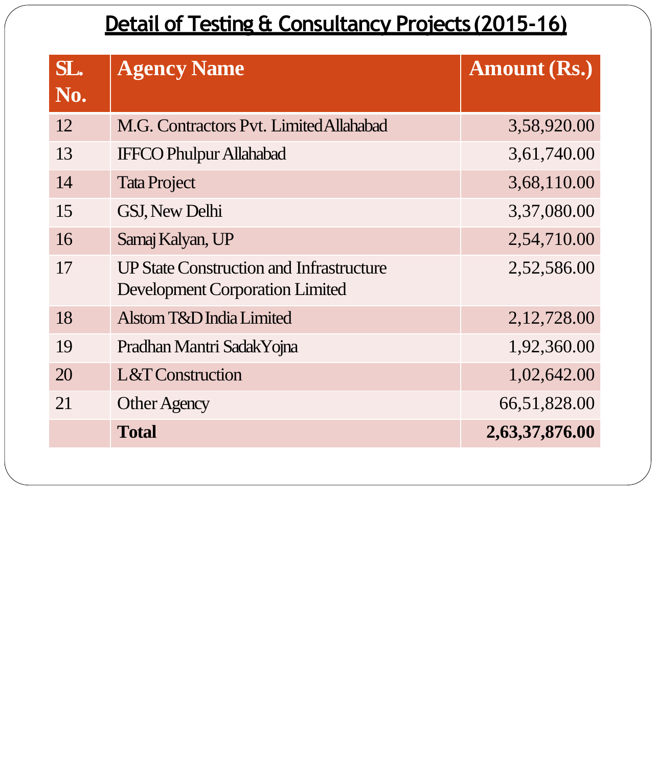## **Detail of Testing & Consultancy Projects(2015-16)**

| SL. | <b>Agency Name</b>                                                                        | <b>Amount (Rs.)</b> |
|-----|-------------------------------------------------------------------------------------------|---------------------|
| No. |                                                                                           |                     |
| 12  | M.G. Contractors Pvt. Limited Allahabad                                                   | 3,58,920.00         |
| 13  | <b>IFFCO Phulpur Allahabad</b>                                                            | 3,61,740.00         |
| 14  | <b>Tata Project</b>                                                                       | 3,68,110.00         |
| 15  | <b>GSJ, New Delhi</b>                                                                     | 3,37,080.00         |
| 16  | Samaj Kalyan, UP                                                                          | 2,54,710.00         |
| 17  | <b>UP State Construction and Infrastructure</b><br><b>Development Corporation Limited</b> | 2,52,586.00         |
| 18  | Alstom T&D India Limited                                                                  | 2, 12, 728.00       |
| 19  | Pradhan Mantri SadakYojna                                                                 | 1,92,360.00         |
| 20  | L&T Construction                                                                          | 1,02,642.00         |
| 21  | <b>Other Agency</b>                                                                       | 66,51,828.00        |
|     | <b>Total</b>                                                                              | 2,63,37,876.00      |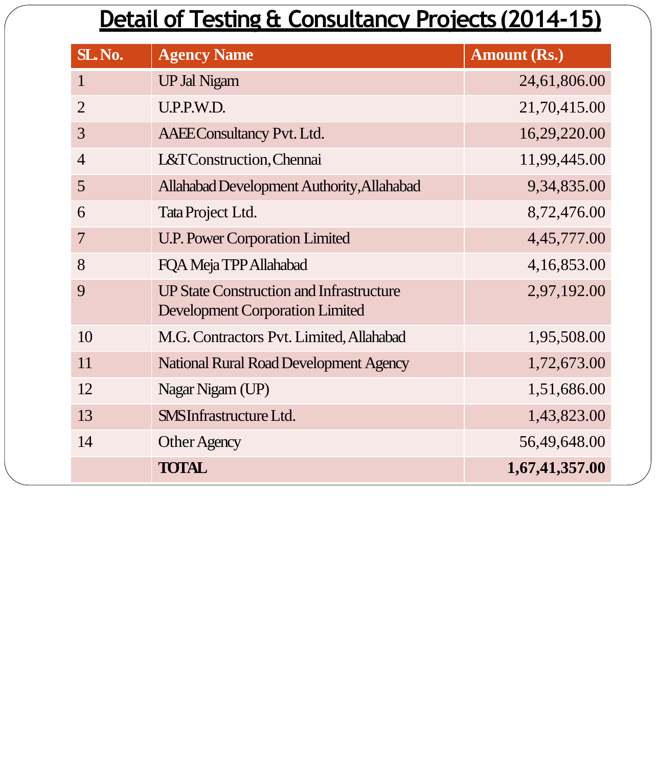# **Detail of Testing & Consultancy Projects(2014-15)**

| SL.No.         | <b>Agency Name</b>                                                                        | <b>Amount (Rs.)</b> |
|----------------|-------------------------------------------------------------------------------------------|---------------------|
| $\mathbf{1}$   | <b>UP Jal Nigam</b>                                                                       | 24,61,806.00        |
| $\overline{2}$ | U.P.P.W.D.                                                                                | 21,70,415.00        |
| 3              | <b>AAEEConsultancy Pvt. Ltd.</b>                                                          | 16,29,220.00        |
| $\overline{4}$ | L&T Construction, Chennai                                                                 | 11,99,445.00        |
| 5              | Allahabad Development Authority, Allahabad                                                | 9,34,835.00         |
| 6              | Tata Project Ltd.                                                                         | 8,72,476.00         |
| 7              | <b>U.P. Power Corporation Limited</b>                                                     | 4,45,777.00         |
| 8              | FQA Meja TPP Allahabad                                                                    | 4,16,853.00         |
| 9              | <b>UP State Construction and Infrastructure</b><br><b>Development Corporation Limited</b> | 2,97,192.00         |
| 10             | M.G. Contractors Pvt. Limited, Allahabad                                                  | 1,95,508.00         |
| 11             | <b>National Rural Road Development Agency</b>                                             | 1,72,673.00         |
| 12             | Nagar Nigam (UP)                                                                          | 1,51,686.00         |
| 13             | <b>SMSInfrastructure Ltd.</b>                                                             | 1,43,823.00         |
| 14             | <b>Other Agency</b>                                                                       | 56,49,648.00        |
|                | <b>TOTAL</b>                                                                              | 1,67,41,357.00      |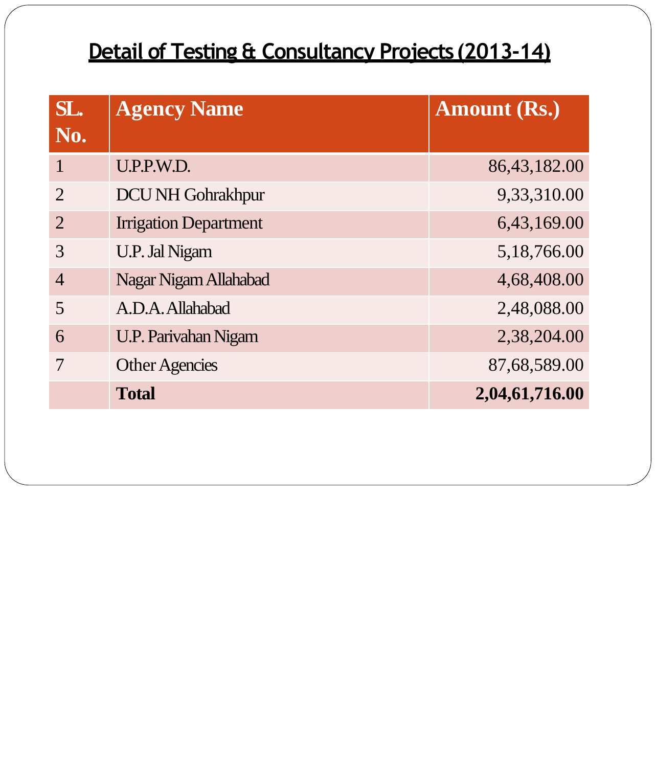## **Detail of Testing & Consultancy Projects(2013-14)**

| SL.<br>No.     | <b>Agency Name</b>           | <b>Amount (Rs.)</b> |
|----------------|------------------------------|---------------------|
|                | U.P.P.W.D.                   | 86,43,182.00        |
| $\overline{2}$ | <b>DCU NH Gohrakhpur</b>     | 9,33,310.00         |
| $\overline{2}$ | <b>Irrigation Department</b> | 6,43,169.00         |
| $\mathcal{R}$  | <b>U.P. Jal Nigam</b>        | 5,18,766.00         |
| $\overline{4}$ | Nagar Nigam Allahabad        | 4,68,408.00         |
| 5              | A.D.A. Allahabad             | 2,48,088.00         |
| 6              | <b>U.P. Parivahan Nigam</b>  | 2,38,204.00         |
|                | <b>Other Agencies</b>        | 87,68,589.00        |
|                | <b>Total</b>                 | 2,04,61,716.00      |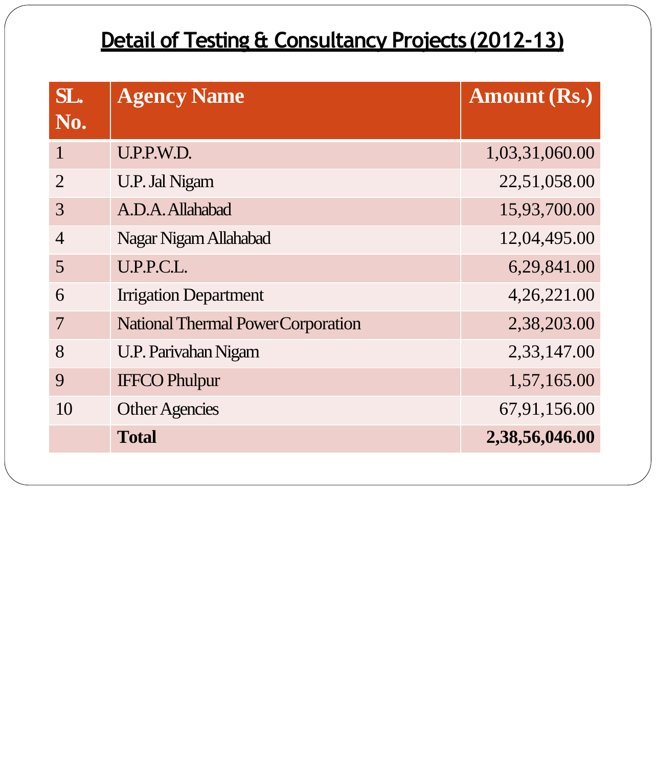#### **Detail of Testing & Consultancy Projects(2012-13)**

| SL.<br>No.     | <b>Agency Name</b>                        | <b>Amount (Rs.)</b> |
|----------------|-------------------------------------------|---------------------|
| $\mathbf{1}$   | U.P.P.W.D.                                | 1,03,31,060.00      |
| $\overline{2}$ | <b>U.P. Jal Nigam</b>                     | 22,51,058.00        |
| 3              | A.D.A. Allahabad                          | 15,93,700.00        |
| $\overline{4}$ | Nagar Nigam Allahabad                     | 12,04,495.00        |
| 5              | U.P.P.C.L.                                | 6,29,841.00         |
| 6              | <b>Irrigation Department</b>              | 4,26,221.00         |
| $\overline{7}$ | <b>National Thermal Power Corporation</b> | 2,38,203.00         |
| 8              | <b>U.P. Parivahan Nigam</b>               | 2,33,147.00         |
| 9              | <b>IFFCO Phulpur</b>                      | 1,57,165.00         |
| 10             | <b>Other Agencies</b>                     | 67,91,156.00        |
|                | <b>Total</b>                              | 2,38,56,046.00      |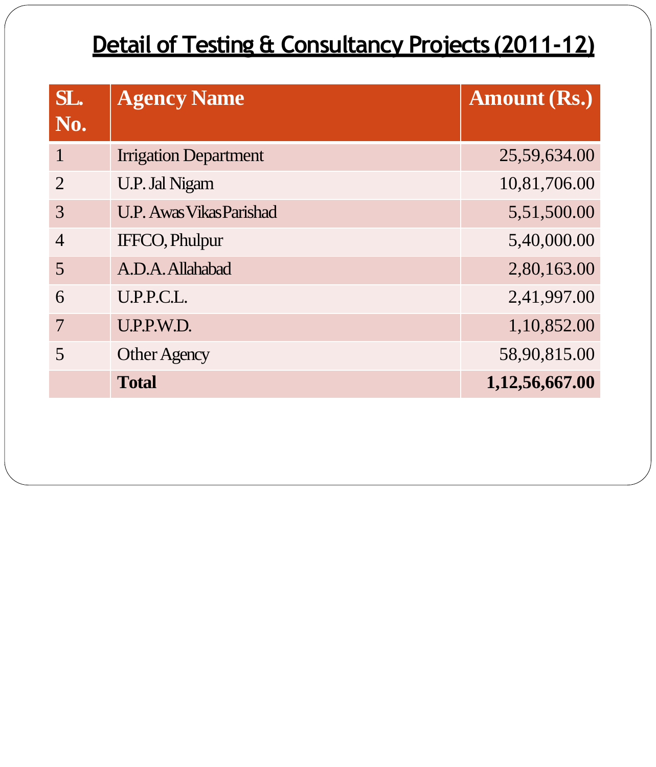# **Detail of Testing & Consultancy Projects(2011-12)**

| SL.<br>No.     | <b>Agency Name</b>              | <b>Amount (Rs.)</b> |
|----------------|---------------------------------|---------------------|
|                | <b>Irrigation Department</b>    | 25,59,634.00        |
| $\overline{2}$ | <b>U.P. Jal Nigam</b>           | 10,81,706.00        |
| 3              | <b>U.P. Awas Vikas Parishad</b> | 5,51,500.00         |
| $\overline{4}$ | <b>IFFCO, Phulpur</b>           | 5,40,000.00         |
| 5              | A.D.A. Allahabad                | 2,80,163.00         |
| 6              | U.P.P.C.L.                      | 2,41,997.00         |
| 7              | U.P.P.W.D.                      | 1,10,852.00         |
| 5              | <b>Other Agency</b>             | 58,90,815.00        |
|                | <b>Total</b>                    | 1,12,56,667.00      |